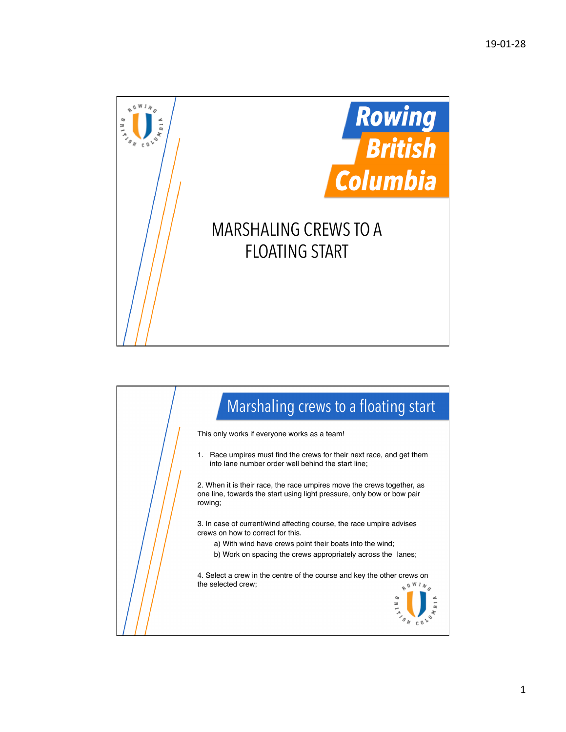